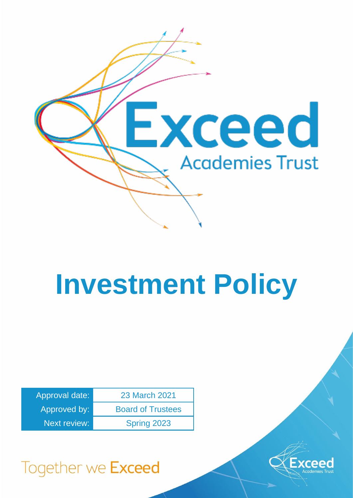

# **Investment Policy**

| Approval date:      | 23 March 2021            |
|---------------------|--------------------------|
| Approved by:        | <b>Board of Trustees</b> |
| <b>Next review:</b> | Spring 2023              |



# Together we Exceed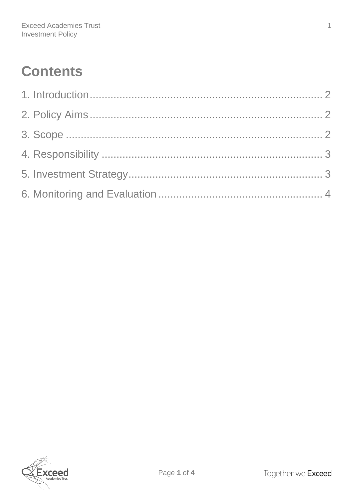## **Contents**

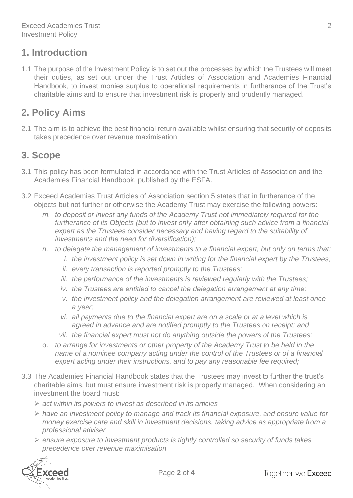#### <span id="page-2-0"></span>**1. Introduction**

1.1 The purpose of the Investment Policy is to set out the processes by which the Trustees will meet their duties, as set out under the Trust Articles of Association and Academies Financial Handbook, to invest monies surplus to operational requirements in furtherance of the Trust's charitable aims and to ensure that investment risk is properly and prudently managed.

### <span id="page-2-1"></span>**2. Policy Aims**

2.1 The aim is to achieve the best financial return available whilst ensuring that security of deposits takes precedence over revenue maximisation.

### <span id="page-2-2"></span>**3. Scope**

- 3.1 This policy has been formulated in accordance with the Trust Articles of Association and the Academies Financial Handbook, published by the ESFA.
- 3.2 Exceed Academies Trust Articles of Association section 5 states that in furtherance of the objects but not further or otherwise the Academy Trust may exercise the following powers:
	- *m. to deposit or invest any funds of the Academy Trust not immediately required for the*  furtherance of its Objects (but to invest only after obtaining such advice from a financial *expert as the Trustees consider necessary and having regard to the suitability of investments and the need for diversification);*
	- *n. to delegate the management of investments to a financial expert, but only on terms that:*
		- *i.* the investment policy is set down in writing for the financial expert by the Trustees;
		- *ii. every transaction is reported promptly to the Trustees;*
		- *iii. the performance of the investments is reviewed regularly with the Trustees;*
		- *iv. the Trustees are entitled to cancel the delegation arrangement at any time;*
		- *v. the investment policy and the delegation arrangement are reviewed at least once a year;*
		- *vi. all payments due to the financial expert are on a scale or at a level which is agreed in advance and are notified promptly to the Trustees on receipt; and*
		- *vii. the financial expert must not do anything outside the powers of the Trustees;*
	- o. *to arrange for investments or other property of the Academy Trust to be held in the name of a nominee company acting under the control of the Trustees or of a financial expert acting under their instructions, and to pay any reasonable fee required;*
- 3.3 The Academies Financial Handbook states that the Trustees may invest to further the trust's charitable aims, but must ensure investment risk is properly managed. When considering an investment the board must:
	- ➢ *act within its powers to invest as described in its articles*
	- ➢ *have an investment policy to manage and track its financial exposure, and ensure value for money exercise care and skill in investment decisions, taking advice as appropriate from a professional adviser*
	- ➢ *ensure exposure to investment products is tightly controlled so security of funds takes precedence over revenue maximisation*

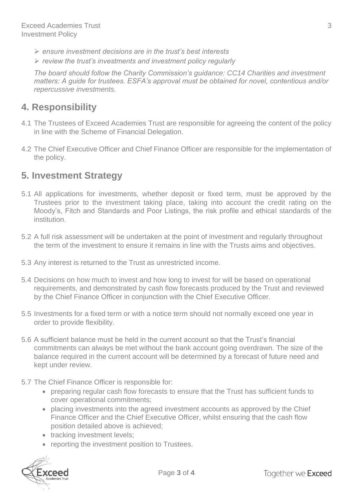- ➢ *ensure investment decisions are in the trust's best interests*
- ➢ *review the trust's investments and investment policy regularly*

*The board should follow the Charity Commission's guidance: CC14 Charities and investment matters: A guide for trustees. ESFA's approval must be obtained for novel, contentious and/or repercussive investments.*

#### <span id="page-3-0"></span>**4. Responsibility**

- 4.1 The Trustees of Exceed Academies Trust are responsible for agreeing the content of the policy in line with the Scheme of Financial Delegation.
- 4.2 The Chief Executive Officer and Chief Finance Officer are responsible for the implementation of the policy.

#### <span id="page-3-1"></span>**5. Investment Strategy**

- 5.1 All applications for investments, whether deposit or fixed term, must be approved by the Trustees prior to the investment taking place, taking into account the credit rating on the Moody's, Fitch and Standards and Poor Listings, the risk profile and ethical standards of the institution.
- 5.2 A full risk assessment will be undertaken at the point of investment and regularly throughout the term of the investment to ensure it remains in line with the Trusts aims and objectives.
- 5.3 Any interest is returned to the Trust as unrestricted income.
- 5.4 Decisions on how much to invest and how long to invest for will be based on operational requirements, and demonstrated by cash flow forecasts produced by the Trust and reviewed by the Chief Finance Officer in conjunction with the Chief Executive Officer.
- 5.5 Investments for a fixed term or with a notice term should not normally exceed one year in order to provide flexibility.
- 5.6 A sufficient balance must be held in the current account so that the Trust's financial commitments can always be met without the bank account going overdrawn. The size of the balance required in the current account will be determined by a forecast of future need and kept under review.
- 5.7 The Chief Finance Officer is responsible for:
	- preparing regular cash flow forecasts to ensure that the Trust has sufficient funds to cover operational commitments;
	- placing investments into the agreed investment accounts as approved by the Chief Finance Officer and the Chief Executive Officer, whilst ensuring that the cash flow position detailed above is achieved;
	- tracking investment levels;
	- reporting the investment position to Trustees.